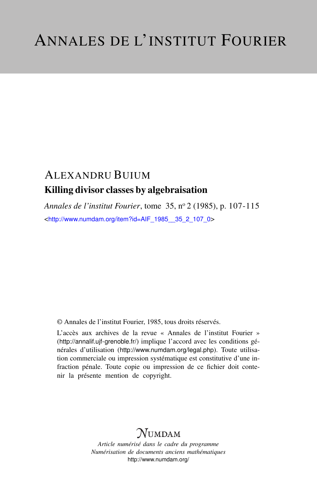# ALEXANDRU BUIUM Killing divisor classes by algebraisation

*Annales de l'institut Fourier*, tome 35, n<sup>o</sup> 2 (1985), p. 107-115 <[http://www.numdam.org/item?id=AIF\\_1985\\_\\_35\\_2\\_107\\_0](http://www.numdam.org/item?id=AIF_1985__35_2_107_0)>

© Annales de l'institut Fourier, 1985, tous droits réservés.

L'accès aux archives de la revue « Annales de l'institut Fourier » (<http://annalif.ujf-grenoble.fr/>) implique l'accord avec les conditions générales d'utilisation (<http://www.numdam.org/legal.php>). Toute utilisation commerciale ou impression systématique est constitutive d'une infraction pénale. Toute copie ou impression de ce fichier doit contenir la présente mention de copyright.

# NUMDAM

*Article numérisé dans le cadre du programme Numérisation de documents anciens mathématiques* <http://www.numdam.org/>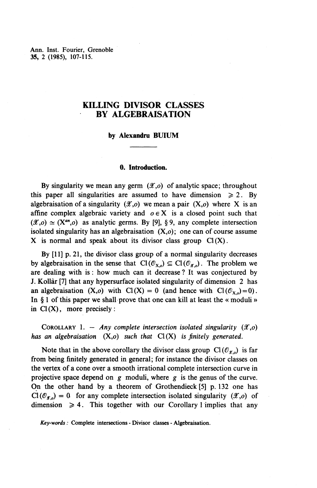Ann. Inst. Fourier, Grenoble **35,** 2 (1985), 107-115.

### **KILLING DIVISOR CLASSES BY ALGEBRAISATION**

#### **by Alexandru BUIUM**

#### **0. Introduction.**

By singularity we mean any germ  $(\mathscr{X}, o)$  of analytic space; throughout this paper all singularities are assumed to have dimension  $\geq 2$ . By algebraisation of a singularity  $(\mathscr{X}, o)$  we mean a pair  $(X,o)$  where X is an affine complex algebraic variety and  $o \in X$  is a closed point such that  $(\mathscr{X}, o) \simeq (X^{an}, o)$  as analytic germs. By [9], § 9, any complete intersection isolated singularity has an algebraisation  $(X, o)$ ; one can of course assume X is normal and speak about its divisor class group  $Cl(X)$ .

**By** [11] p. 21, the divisor class group of a normal singularity decreases by algebraisation in the sense that  $Cl(\mathcal{O}_{X,o}) \subseteq Cl(\mathcal{O}_{X,o})$ . The problem we are dealing with is: how much can it decrease ? It was conjectured by J. Kollar [7] that any hypersurface isolated singularity of dimension 2 has an algebraisation  $(X, o)$  with  $Cl(X) = 0$  (and hence with  $Cl(\mathcal{O}_{X, o})=0$ ). In § 1 of this paper we shall prove that one can kill at least the « moduli » in  $Cl(X)$ , more precisely:

COROLLARY 1. - *Any complete intersection isolated singularity*  $(\mathscr{X}, o)$ *has an algebraisation (X,o) such that* Cl (X) *is finitely generated.*

Note that in the above corollary the divisor class group  $Cl(\mathcal{O}_{\mathcal{X},0})$  is far from being finitely generated in general; for instance the divisor classes on the vertex of a cone over a smooth irrational complete intersection curve in projective space depend on *g* moduli, where *g* is the genus of the curve. On the other hand by a theorem of Grothendieck [5] p. 132 one has  $Cl(m_1) = 0$  for any complete intersection isolated singularity ( $\mathscr{X}$ )  $\odot$  $Cl(\mathcal{O}_{\mathcal{X},0}) = 0$  for any complete intersection isolated singularity  $(\mathcal{X},0)$  of dimension  $\geq 4$ . This together with our Corollary 1 implies that any

*Key-words :* Complete intersections - Divisor classes - Algebraisation.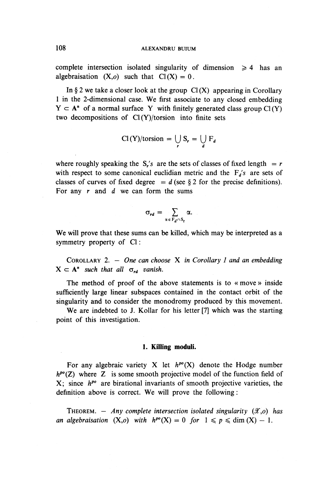complete intersection isolated singularity of dimension  $\geq 4$  has an algebraisation  $(X, o)$  such that  $Cl(X) = 0$ .

In  $\S$  2 we take a closer look at the group  $Cl(X)$  appearing in Corollary 1 in the 2-dimensional case. **We** first associate to any closed embedding  $Y \subset A^n$  of a normal surface Y with finitely generated class group Cl (Y) two decompositions of Cl (Y)/torsion into finite sets

$$
\text{Cl}(Y)/\text{torsion} = \bigcup_r S_r = \bigcup_d F_d
$$

where roughly speaking the S<sub>r</sub>'s are the sets of classes of fixed length  $= r$ with respect to some canonical euclidian metric and the  $F_d$ 's are sets of classes of curves of fixed degree  $= d$  (see § 2 for the precise definitions). For any r and *d* we can form the sums

$$
\sigma_{\text{rd}} = \sum_{\alpha \in F_{\text{d}} \cap S_{\text{r}}} \alpha.
$$

**We** will prove that these sums can be killed, which may be interpreted as a symmetry property of Cl:

COROLLARY 2. — *One can choose* X *in Corollary 1 and an embedding*  $X \subset A^n$  such that all  $\sigma_{rd}$  vanish.

The method of proof of the above statements is to « move *»* inside sufficiently large linear subspaces contained in the contact orbit of the singularity and to consider the monodromy produced by this movement.

**We** are indebted to J. Kollar for his letter [7] which was the starting point of this investigation.

#### **1. Killing moduli.**

For any algebraic variety X let  $h^{po}(X)$  denote the Hodge number  $h^{po}(Z)$  where Z is some smooth projective model of the function field of **X**; since  $h^{po}$  are birational invariants of smooth projective varieties, the definition above is correct. We will prove the following:

THEOREM.  $-$  Any complete intersection isolated singularity  $(\mathscr{X}, o)$  has *an algebraisation*  $(X, o)$  *with*  $h^{po}(X) = 0$  *for*  $1 \le p \le \dim(X) - 1$ .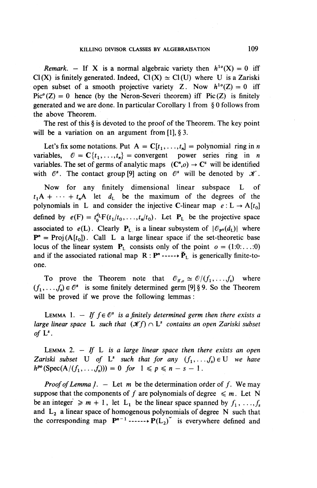*Remark.* – If X is a normal algebraic variety then  $h^{10}(X) = 0$  iff  $Cl(X)$  is finitely generated. Indeed,  $Cl(X) \simeq Cl(U)$  where U is a Zariski open subset of a smooth projective variety Z. Now  $h^{10}(Z) = 0$  iff  $Pic<sup>o</sup>(Z) = 0$  hence (by the Neron-Severi theorem) iff Pic(Z) is finitely generated and we are done. In particular Corollary 1 from § 0 follows from the above Theorem.

The rest of this § is devoted to the proof of the Theorem. The key point will be a variation on an argument from [1], § 3.

Let's fix some notations. Put  $A = C[t_1, \ldots, t_n] =$  polynomial ring in *n* variables,  $\mathcal{O} = \mathbb{C}\{t_1, \ldots, t_n\}$  = convergent power series ring in *n* variables. The set of germs of analytic maps  $(C^n, o) \rightarrow C^s$  will be identified with  $\mathcal{O}^s$ . The contact group [9] acting on  $\mathcal{O}^s$  will be denoted by  $\mathcal K$ 

Now for any finitely dimensional linear subspace L of  $t_1A + \cdots + t_nA$  let  $d_L$  be the maximum of the degrees of the polynomials in L and consider the injective C-linear map  $e: L \rightarrow A[t_0]$ defined by  $e(F) = t_0^d F(t_1/t_0, \ldots, t_n/t_0)$ . Let  $P_L$  be the projective space associated to  $e(L)$ . Clearly  $P_L$  is a linear subsystem of  $|\mathcal{O}_{P^n}(d_L)|$  where  $P'' = Proj(A[t_0])$ . Call L a large linear space if the set-theoretic base locus of the linear system  $P_L$  consists only of the point  $o = (1:0:...:0)$ and if the associated rational map  $\mathbf{R} : \mathbf{P}^n \longrightarrow \tilde{\mathbf{P}}_L$  is generically finite-toone.

To prove the Theorem note that  $\mathcal{O}_{x,o} \simeq \mathcal{O}/(f_1,\ldots,f_s)$  where  $(f_1, \ldots, f_s) \in \mathcal{O}^s$  is some finitely determined germ [9] § 9. So the Theorem will be proved if we prove the following lemmas:

LEMMA 1.  $-$  If  $f \in \mathbb{C}^s$  is a finitely determined germ then there exists a *large linear space* L *such that* (Jf/) n L<sup>5</sup>  *contains an open Zariski subset* of  $L^s$ .

LEMMA 2. — *If* L is *a large linear space then there exists an open Zariski subset* U of L<sup>*s*</sup> such that for any  $(f_1, \ldots, f_s) \in U$  we have  $h^{po}(\text{Spec}(A/(f_1,...,f_s))) = 0$  for  $1 \le p \le n-s-1$ .

*Proof of Lemma 1.* – Let m be the determination order of f. We may suppose that the components of f are polynomials of degree  $\leq m$ . Let N be an integer  $\geq m+1$ , let L<sub>1</sub> be the linear space spanned by  $f_1, \ldots, f_s$ and  $L_2$  a linear space of homogenous polynomials of degree N such that the corresponding map  $P^{n-1}$  ------> $P(L_2)$  is everywhere defined and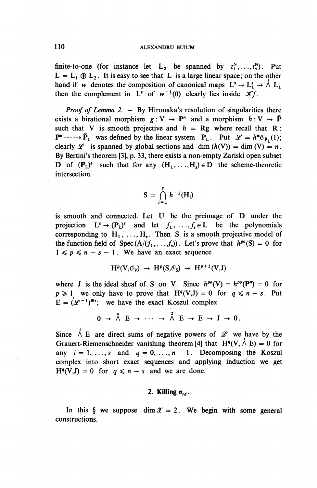finite-to-one (for instance let  $L_2$  be spanned by  $t_1^N, \ldots, t_n^N$ ). Put  $L = L_1 \oplus L_2$ . It is easy to see that L is a large linear space; on the other hand if w denotes the composition of canonical maps  $L^s \to L_1^s \to \Lambda^s L_1$ then the complement in  $L^s$  of  $w^{-1}(0)$  clearly lies inside  $xf$ .

*Proof of Lemma 2. – By Hironaka's resolution of singularities there* exists a birational morphism  $g: V \to P^n$  and a morphism  $h: V \to \check{P}$ such that V is smooth projective and  $h = Rg$  where recall that R :  $\mathbf{P}^n$  -----> $\check{\mathbf{P}}_1$  was defined by the linear system  $\mathbf{P}_1$ . Put  $\mathscr{L} = h^*\mathscr{O}_{p}(1);$ clearly  $\mathscr L$  is spanned by global sections and dim  $(h(V)) = \dim (V) = n$ . By Bertini's theorem [3], p. 33, there exists a non-empty Zariski open subset D of  $(\mathbf{P}_L)^s$  such that for any  $(H_1, \ldots, H_s) \in D$  the scheme-theoretic intersection

$$
S = \bigcap_{i=1}^s h^{-1}(H_i)
$$

is smooth and connected. Let U be the preimage of D under the projection  $L^s \to (\mathbf{P}_L)^s$  and let  $f_1, \ldots, f_s \in L$  be the polynomials corresponding to  $H_1, \ldots, H_s$ . Then S is a smooth projective model of the function field of  $Spec (A/(f_1,...,f_s))$ . Let's prove that  $h^{po}(S) = 0$  for  $1 \leqslant p \leqslant n - s - 1$ . We have an exact sequence

$$
H^p(V,\mathcal{O}_V) \rightarrow H^p(S,\mathcal{O}_S) \rightarrow H^{p+1}(V,J)
$$

where J is the ideal sheaf of S on V. Since  $h^{po}(V) = h^{po}(P^n) = 0$  for  $p \geq 1$  we only have to prove that  $H^{q}(V,J) = 0$  for  $q \leq n - s$ . Put  $E = (\mathcal{L}^{-1})^{\oplus s}$ ; we have the exact Koszul complex

$$
0 \to \stackrel{s}{\wedge} E \to \cdots \to \stackrel{2}{\wedge} E \to E \to J \to 0.
$$

Since  $\Lambda$  E are direct sums of negative powers of  $\mathscr L$  we have by the Grauert-Riemenschneider vanishing theorem [4] that  $H^q(V, \dot{\wedge} E) = 0$  for any  $i = 1, \ldots, s$  and  $q = 0, \ldots, n - 1$ . Decomposing the Koszul complex into short exact sequences and applying induction we get  $H^{q}(V,J) = 0$  for  $q \leq n - s$  and we are done.

#### 2. Killing  $\sigma_{rd}$ .

In this  $\oint$  we suppose dim  $\mathcal{X} = 2$ . We begin with some general constructions.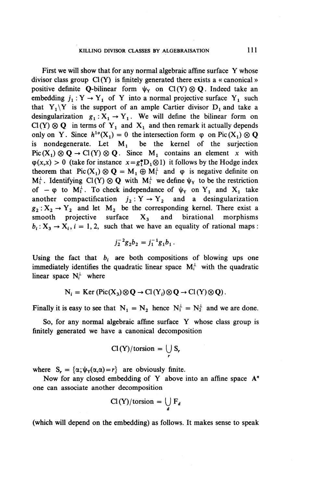First we will show that for any normal algebraic affine surface Y whose divisor class group  $Cl(Y)$  is finitely generated there exists a « canonical » positive definite Q-bilinear form  $\psi_Y$  on Cl (Y)  $\otimes$  Q. Indeed take an embedding  $j_1 : Y \to Y_1$  of Y into a normal projective surface Y<sub>1</sub> such that  $Y_1\Y$  is the support of an ample Cartier divisor  $D_1$  and take a desingularization  $g_1 : X_1 \rightarrow Y_1$ . We will define the bilinear form on  $Cl(Y) \otimes Q$  in terms of Y<sub>1</sub> and X<sub>1</sub> and then remark it actually depends only on Y. Since  $h^{10}(X_1) = 0$  the intersection form  $\varphi$  on Pic $(X_1) \otimes \mathbf{Q}$ is nondegenerate. Let  $M_1$  be the kernel of the surjection  $Pic(X_1) \otimes \mathbf{Q} \rightarrow Cl(Y) \otimes \mathbf{Q}$ . Since M<sub>1</sub> contains an element x with  $\varphi(x,x) > 0$  (take for instance  $x = g_1^*D_1 \otimes 1$ ) it follows by the Hodge index theorem that  $Pic(X_1) \otimes Q = M_1 \oplus M_1^{\perp}$  and  $\varphi$  is negative definite on  $M_1^{\perp}$ . Identifying  $Cl(Y) \otimes Q$  with  $M_1^{\perp}$  we define  $\psi_Y$  to be the restriction of  $-\varphi$  to  $M_1^{\perp}$ . To check independance of  $\psi_Y$  on Y<sub>i</sub> and X<sub>i</sub> take another compactification  $j_2: Y \rightarrow Y_2$  and a desingularization  $g_2$  :  $X_2 \rightarrow Y_2$  and let M<sub>2</sub> be the corresponding kernel. There exist a smooth projective surface  $X_3$  and birational morphisms  $b_i: X_3 \rightarrow X_i$ ,  $i = 1, 2$ , such that we have an equality of rational maps:

$$
j_2^{-2}g_2b_2=j_1^{-1}g_1b_1.
$$

Using the fact that  $b_i$  are both compositions of blowing ups one immediately identifies the quadratic linear space  $M_i^{\perp}$  with the quadratic linear space  $N_i^{\perp}$  where

$$
N_i = \text{Ker}(\text{Pic}(X_3) \otimes \mathbf{Q} \to \text{Cl}(Y_i) \otimes \mathbf{Q} \to \text{Cl}(Y) \otimes \mathbf{Q}).
$$

Finally it is easy to see that  $N_1 = N_2$  hence  $N_1^{\perp} = N_2^{\perp}$  and we are done.

So, for any normal algebraic affine surface Y whose class group is finitely generated we have a canonical decomposition

$$
Cl(Y)/torsion = \bigcup_r S_r
$$

where  $S_r = {\alpha; \psi_Y(\alpha, \alpha) = r}$  are obviously finite.

Now for any closed embedding of Y above into an affine space A" one can associate another decomposition

$$
Cl(Y)/torsion = \bigcup_{d} F_{d}
$$

(which will depend on the embedding) as follows. It makes sense to speak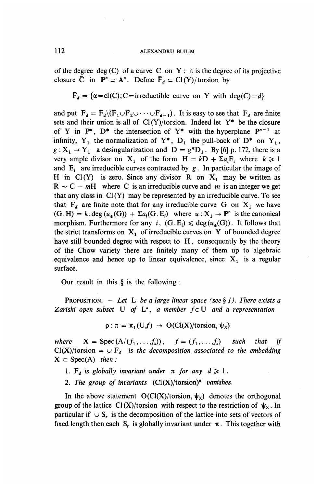of the degree deg  $(C)$  of a curve C on Y : it is the degree of its projective closure  $\overline{C}$  in  $P^n \supset A^n$ . Define  $\overline{F}_d \subset Cl(Y)/t$  or sion by

$$
\bar{F}_d = \{ \alpha = cl(C); C = irreducible curve on Y with deg(C) = d \}
$$

and put  $F_d = \bar{F}_d \setminus (\bar{F}_1 \cup \bar{F}_2 \cup \cdots \cup \bar{F}_{d-1})$ . It is easy to see that  $F_d$  are finite sets and their union is all of  $Cl(Y)/torsion$ . Indeed let  $Y^*$  be the closure of Y in  $\mathbf{P}^n$ ,  $\mathbf{D}^*$  the intersection of  $\mathbf{Y}^*$  with the hyperplane  $\mathbf{P}^{n-1}$  at infinity,  $Y_1$  the normalization of  $Y^*$ ,  $D_1$  the pull-back of  $D^*$  on  $Y_1$ ,  $g: X_1 \rightarrow Y_1$  a desingularization and  $D = g^*D_1$ . By [6] p. 172, there is a very ample divisor on  $X_1$  of the form  $H = kD + \sum a_i E_i$  where  $k \ge 1$ and  $E_i$  are irreducible curves contracted by  $g$ . In particular the image of H in C1(Y) is zero. Since any divisor R on  $X_1$  may be written as  $R ~ \sim C - mH$  where C is an irreducible curve and m is an integer we ge that any class in  $Cl(Y)$  may be represented by an irreducible curve. To see that  $F_d$  are finite note that for any irreducible curve G on  $X_1$  we have  $(G.H) = k \cdot deg(u_*(G)) + \Sigma a_i(G.E_i)$  where  $u: X_1 \to P^n$  is the canonical morphism. Furthermore for any i,  $(G.E_i) \leq \text{deg}(u_{\star}(G))$ . It follows that the strict transforms on  $X_1$  of irreducible curves on Y of bounded degree have still bounded degree with respect to H, consequently by the theory of the Chow variety there are finitely many of them up to algebraic equivalence and hence up to linear equivalence, since  $X_1$  is a regular surface.

**Our** result in this § is the following:

**PROPOSITION.**  $-$  Let L be a large linear space (see § 1). There exists a *Zariski open subset* U *of*  $L^s$ , a member  $f \in U$  and a representation

 $\rho : \pi = \pi_1(U, f) \rightarrow O(Cl(X)/torsion, \psi_X)$ 

*where*  $X = \text{Spec}(A/(f_1, \ldots, f_s)), \quad f = (f_1, \ldots, f_s)$  *such that if*  $Cl(X)/torsion = \cup F_a$  is the decomposition associated to the embedding  $X \subset \text{Spec}(A)$  then :

- 1.  $F_d$  is globally invariant under  $\pi$  for any  $d \geq 1$ .
- 2. The group of invariants  $(Cl(X)/torsion)^n$  vanishes.

In the above statement  $O(Cl(X)/torsion, \psi_X)$  denotes the orthogonal group of the lattice Cl(X)/torsion with respect to the restriction of  $\psi_x$ . In particular if  $\cup$  S<sub>r</sub> is the decomposition of the lattice into sets of vectors of fixed length then each S<sub>r</sub> is globally invariant under  $\pi$ . This together with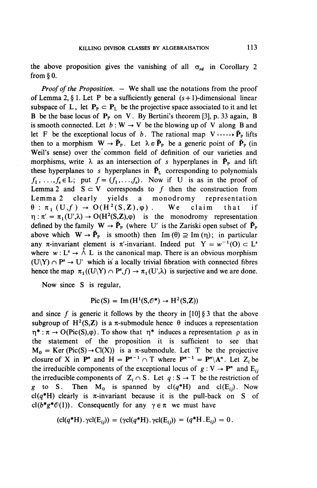the above proposition gives the vanishing of all  $\sigma_{rd}$  in Corollary 2 from § 0.

*Proof of the Proposition. —* We shall use the notations from the proof of Lemma 2, § 1. Let P be a sufficiently general  $(s + 1)$ -dimensional linear subspace of L, let  $P_p \subset P_1$  be the projective space associated to it and let B be the base locus of  $P_p$  on V. By Bertini's theorem [3], p. 33 again, B is smooth connected. Let  $b: W \to V$  be the blowing up of V along B and let F be the exceptional locus of b. The rational map  $V \rightarrow V_P$  lifts then to a morphism  $W \to \check{P}_p$ . Let  $\lambda \in \check{P}_p$  be a generic point of  $\check{P}_p$  (in Weil's sense) over the common field of definition of our varieties and morphisms, write  $\lambda$  as an intersection of *s* hyperplanes in  $\check{P}_p$  and lift these hyperplanes to s hyperplanes in  $\check{P}_L$  corresponding to polynomials  $f_1, \ldots, f_s \in L$ ; put  $f = (f_1, \ldots, f_s)$ . Now if U is as in the proof of Lemma 2 and  $S \subset V$  corresponds to f then the construction from<br>Lemma 2 clearly yields a monodromy representation yields a monodromy representation  $\theta$ :  $\pi_1(U,f) \to O(H^2(S,\mathbb{Z}),\varphi)$  . We claim that if  $\eta : \pi' = \pi_1(U',\lambda) \to O(H^2(S,\mathbb{Z}),\varphi)$  is the monodromy representation defined by the family  $W \rightarrow \check{P}_P$  (where U' is the Zariski open subset of  $\check{P}_P$ ) above which  $W \rightarrow \check{P}_P$  is smooth) then Im ( $\theta$ )  $\supseteq$  Im ( $\eta$ ); in particular any  $\pi$ -invariant element is  $\pi$ -invariant. Indeed put  $Y = w^{-1}(0) \subset L^s$ where  $w: L^s \to \Lambda^s L$  is the canonical map. There is an obvious morphism  $(U\ Y) \cap P^s \to U'$  which is a locally trivial fibration with connected fibres hence the map  $\pi_1((U\ Y) \cap P^s, f) \to \pi_1(U',\lambda)$  is surjective and we are done.

Now since S is regular,

$$
Pic(S) = Im(H^1(S, \mathcal{O}^*) \to H^2(S, \mathbb{Z}))
$$

and since f is generic it follows by the theory in  $[10]$  § 3 that the above subgroup of H<sup>2</sup>(S,Z) is a  $\pi$ -submodule hence  $\theta$  induces a representation  $\eta^*: \pi \to O(Pic(S), \varphi)$ . To show that  $\eta^*$  induces a representation  $\rho$  as in the statement of the proposition it is sufficient to see that  $M_0 = \text{Ker }(\text{Pic}(S) \rightarrow \text{Cl}(X))$  is a  $\pi$ -submodule. Let T be the projective closure of X in  $P^n$  and  $H = P^{n-1} \cap T$  where  $P^{n-1} = P^n \backslash A^n$ . Let  $Z_i$  be the irreducible components of the exceptional locus of  $g: V \to P^n$  and  $E_{ij}$ the irreducible components of  $Z_i \cap S$ . Let  $q : S \to T$  be the restriction of *g* to S. Then  $M_0$  is spanned by  $cl(q^*H)$  and  $cl(E_{ij})$ . Now cl( $q^*$ H) clearly is  $\pi$ -invariant because it is the pull-back on S of *cl*( $b^*g^*$  $O(1)$ ). Consequently for any  $\gamma \in \pi$  we must have

$$
(\mathrm{cl}(q^*H).\gamma \mathrm{cl}(E_{ij})) = (\gamma \mathrm{cl}(q^*H).\gamma \mathrm{cl}(E_{ij})) = (q^*H.E_{ij}) = 0.
$$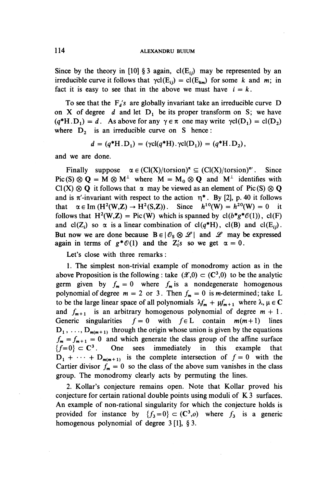Since by the theory in [10] § 3 again,  $cl(E_i)$  may be represented by an irreducible curve it follows that  $\gamma c l(E_{ij}) = c l(E_{km})$  for some k and m; in fact it is easy to see that in the above we must have  $i = k$ .

To see that the  $F_{d}$ 's are globally invariant take an irreducible curve D on X of degree  $d$  and let  $D_1$  be its proper transform on S; we have  $(q^*H.D_1) = d$ . As above for any  $\gamma \in \pi$  one may write  $\gamma cl(D_1) = cl(D_2)$ where  $D_2$  is an irreducible curve on S hence:

$$
d = (q^*H.D_1) = (\gamma cl(q^*H). \gamma cl(D_1)) = (q^*H.D_2),
$$

and we are done.

Finally suppose  $\alpha \in (Cl(X)/torsion)^{\pi} \subseteq (Cl(X)/torsion)^{\pi'}$ . Since Pic(S)  $\otimes$  Q = M  $\otimes$  M<sup>1</sup> where M = M<sub>0</sub>  $\otimes$  Q and M<sup>1</sup> identifies with  $Cl(X) \otimes Q$  it follows that  $\alpha$  may be viewed as an element of Pic(S)  $\otimes Q$ and is  $\pi'$ -invariant with respect to the action  $\eta^*$ . By [2], p. 40 it follows that  $\alpha \in \text{Im} (H^2(W, Z) \to H^2(S, Z)).$  Since  $h^{10}(W) = h^{20}(W) = 0$ follows that  $H^2(W,Z) = Pic(W)$  which is spanned by  $cl(b^*g^*\mathcal{O}(1))$ ,  $cl(F)$ and cl(Z<sub>i</sub>) so  $\alpha$  is a linear combination of cl( $q^*H$ ), cl(B) and cl(E<sub>ii</sub>). But now we are done because  $B \in | \mathcal{O}_S \otimes \mathcal{L} |$  and  $\mathcal{L}$  may be expressed again in terms of  $g^* \mathcal{O}(1)$  and the  $Z_i$ 's so we get  $\alpha = 0$ .

Let's close with three remarks :

1. The simplest non-trivial example of monodromy action as in the above Proposition is the following : take  $(\mathcal{X},0) \subset (\mathbb{C}^3,0)$  to be the analytic germ given by  $f_m = 0$  where  $f_m$  is a nondegenerate homogenous polynomial of degree  $m = 2$  or 3. Then  $f_m = 0$  is *m*-determined; take L to be the large linear space of all polynomials  $\lambda f_m + \mu f_{m+1}$  where  $\lambda, \mu \in \mathbb{C}$ and  $f_{m+1}$  is an arbitrary homogenous polynomial of degree  $m + 1$ . Generic singularities  $f = 0$  with  $f \in L$  contain  $m(m+1)$  lines  $D_1, \ldots, D_{m(m+1)}$  through the origin whose union is given by the equations  $f_{\bf m} = f_{\bf m+1} = 0$  and which generate the class group of the affine surface  ${f=0} \subset C^3$ . . One sees immediately in this example that  $D_1 + \cdots + D_{m(m+1)}$  is the complete intersection of  $f = 0$  with the Cartier divisor  $f_m = 0$  so the class of the above sum vanishes in the class group. The monodromy clearly acts by permuting the lines.

2. Kollar's conjecture remains open. Note that Kollar proved his conjecture for certain rational double points using moduli of K 3 surfaces. An example of non-rational singularity for which the conjecture holds is provided for instance by  ${f_3=0} \subset (C^3,o)$  where  $f_3$  is a generic homogenous polynomial of degree 3 [1], § 3.